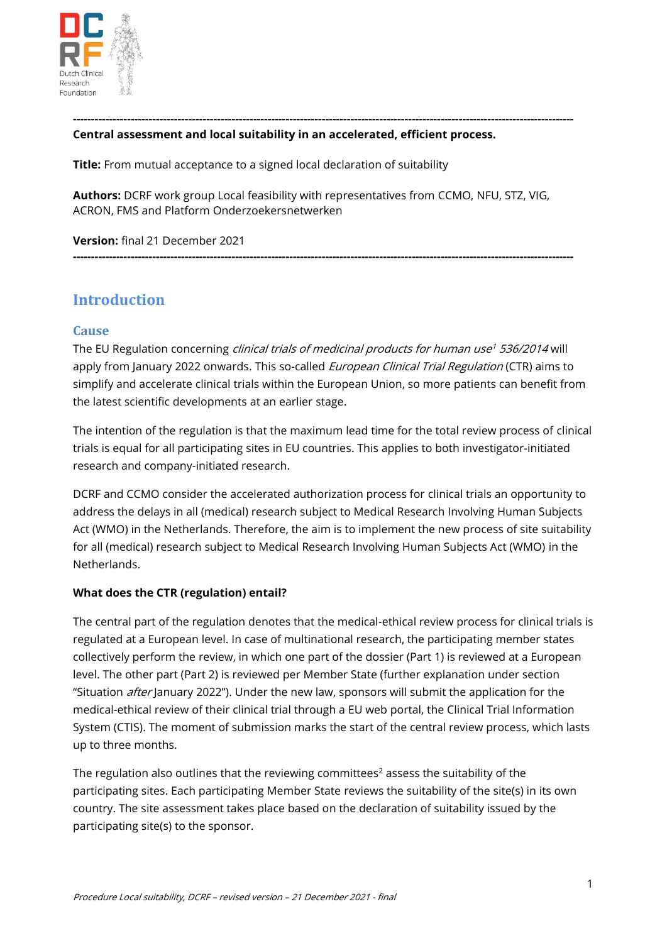

#### **------------------------------------------------------------------------------------------------------------------------------------------- Central assessment and local suitability in an accelerated, efficient process.**

**Title:** From mutual acceptance to a signed local declaration of suitability

**Authors:** DCRF work group Local feasibility with representatives from CCMO, NFU, STZ, VIG, ACRON, FMS and Platform Onderzoekersnetwerken

**-------------------------------------------------------------------------------------------------------------------------------------------**

**Version:** final 21 December 2021

## **Introduction**

#### **Cause**

The EU Regulation concerning *clinical trials of medicinal products for human use<sup>1</sup> 536/2014* will apply from January 2022 onwards. This so-called *European Clinical Trial Regulation* (CTR) aims to simplify and accelerate clinical trials within the European Union, so more patients can benefit from the latest scientific developments at an earlier stage.

The intention of the regulation is that the maximum lead time for the total review process of clinical trials is equal for all participating sites in EU countries. This applies to both investigator-initiated research and company-initiated research.

DCRF and CCMO consider the accelerated authorization process for clinical trials an opportunity to address the delays in all (medical) research subject to Medical Research Involving Human Subjects Act (WMO) in the Netherlands. Therefore, the aim is to implement the new process of site suitability for all (medical) research subject to Medical Research Involving Human Subjects Act (WMO) in the Netherlands.

#### **What does the CTR (regulation) entail?**

The central part of the regulation denotes that the medical-ethical review process for clinical trials is regulated at a European level. In case of multinational research, the participating member states collectively perform the review, in which one part of the dossier (Part 1) is reviewed at a European level. The other part (Part 2) is reviewed per Member State (further explanation under section "Situation *after* January 2022"). Under the new law, sponsors will submit the application for the medical-ethical review of their clinical trial through a EU web portal, the Clinical Trial Information System (CTIS). The moment of submission marks the start of the central review process, which lasts up to three months.

The regulation also outlines that the reviewing committees $^2$  assess the suitability of the participating sites. Each participating Member State reviews the suitability of the site(s) in its own country. The site assessment takes place based on the declaration of suitability issued by the participating site(s) to the sponsor.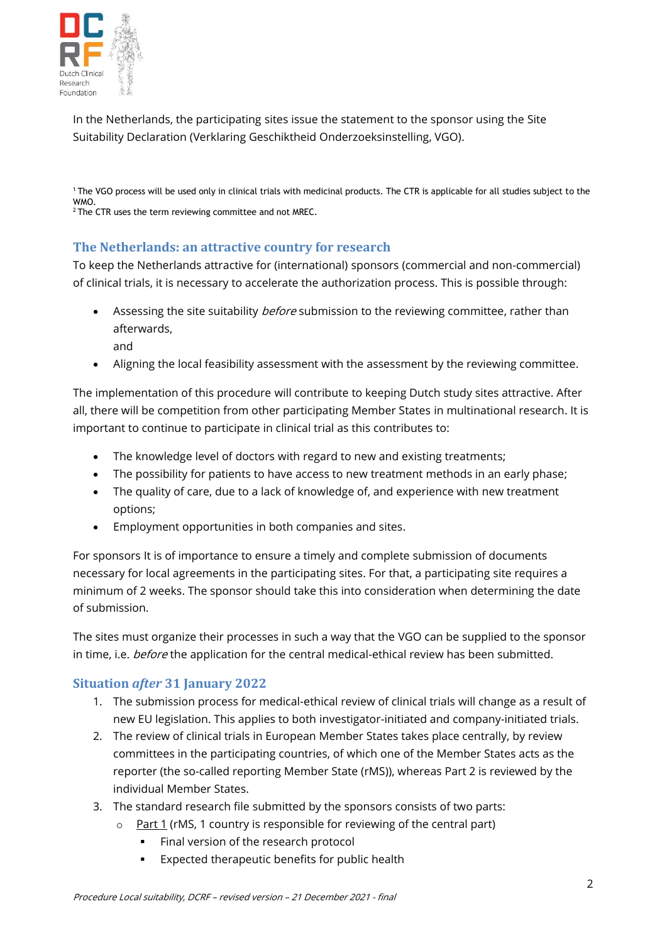

In the Netherlands, the participating sites issue the statement to the sponsor using the Site Suitability Declaration (Verklaring Geschiktheid Onderzoeksinstelling, VGO).

<sup>1</sup>The VGO process will be used only in clinical trials with medicinal products. The CTR is applicable for all studies subject to the WMO.  $2$  The CTR uses the term reviewing committee and not MREC.

## **The Netherlands: an attractive country for research**

To keep the Netherlands attractive for (international) sponsors (commercial and non-commercial) of clinical trials, it is necessary to accelerate the authorization process. This is possible through:

- Assessing the site suitability *before* submission to the reviewing committee, rather than afterwards, and
- Aligning the local feasibility assessment with the assessment by the reviewing committee.

The implementation of this procedure will contribute to keeping Dutch study sites attractive. After all, there will be competition from other participating Member States in multinational research. It is important to continue to participate in clinical trial as this contributes to:

- The knowledge level of doctors with regard to new and existing treatments;
- The possibility for patients to have access to new treatment methods in an early phase;
- The quality of care, due to a lack of knowledge of, and experience with new treatment options;
- Employment opportunities in both companies and sites.

For sponsors It is of importance to ensure a timely and complete submission of documents necessary for local agreements in the participating sites. For that, a participating site requires a minimum of 2 weeks. The sponsor should take this into consideration when determining the date of submission.

The sites must organize their processes in such a way that the VGO can be supplied to the sponsor in time, i.e. before the application for the central medical-ethical review has been submitted.

### **Situation** *after* **31 January 2022**

- 1. The submission process for medical-ethical review of clinical trials will change as a result of new EU legislation. This applies to both investigator-initiated and company-initiated trials.
- 2. The review of clinical trials in European Member States takes place centrally, by review committees in the participating countries, of which one of the Member States acts as the reporter (the so-called reporting Member State (rMS)), whereas Part 2 is reviewed by the individual Member States.
- 3. The standard research file submitted by the sponsors consists of two parts:
	- $\circ$  Part 1 (rMS, 1 country is responsible for reviewing of the central part)
		- Final version of the research protocol
		- Expected therapeutic benefits for public health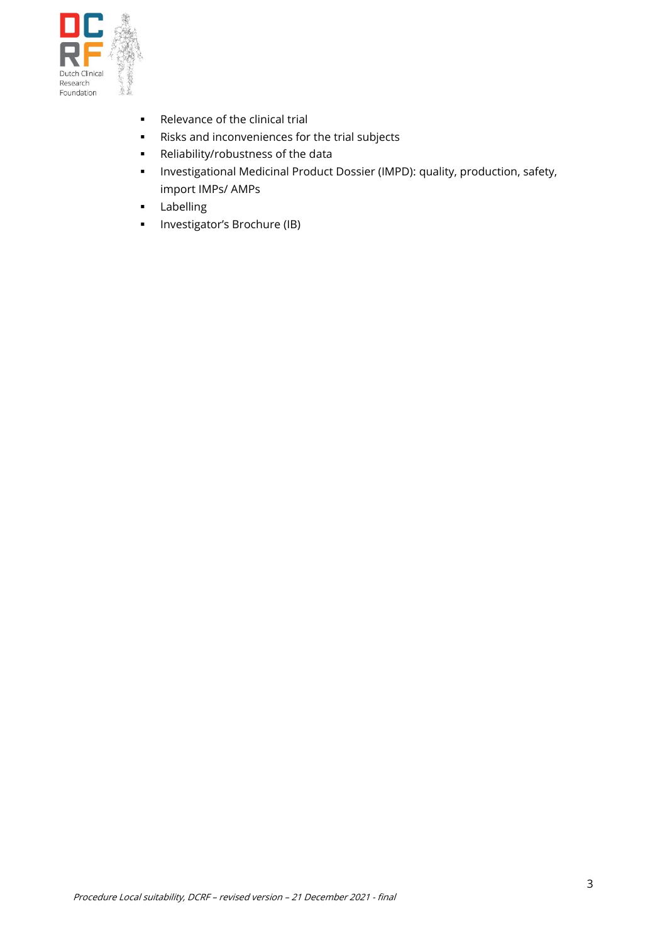

- Relevance of the clinical trial
- Risks and inconveniences for the trial subjects
- Reliability/robustness of the data
- Investigational Medicinal Product Dossier (IMPD): quality, production, safety, import IMPs/ AMPs
- Labelling
- **·** Investigator's Brochure (IB)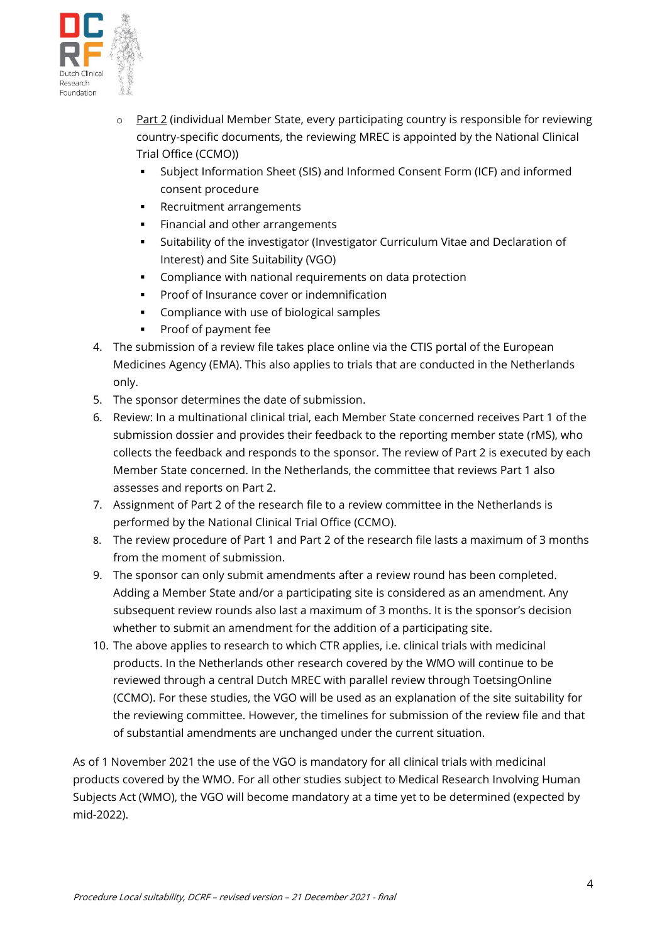

- $\circ$  Part 2 (individual Member State, every participating country is responsible for reviewing country-specific documents, the reviewing MREC is appointed by the National Clinical Trial Office (CCMO))
	- Subject Information Sheet (SIS) and Informed Consent Form (ICF) and informed consent procedure
	- Recruitment arrangements
	- **EXECTE FINANCIAL AND FINANCIA** Financial and other arrangements
	- Suitability of the investigator (Investigator Curriculum Vitae and Declaration of Interest) and Site Suitability (VGO)
	- Compliance with national requirements on data protection
	- Proof of Insurance cover or indemnification
	- Compliance with use of biological samples
	- Proof of payment fee
- 4. The submission of a review file takes place online via the CTIS portal of the European Medicines Agency (EMA). This also applies to trials that are conducted in the Netherlands only.
- 5. The sponsor determines the date of submission.
- 6. Review: In a multinational clinical trial, each Member State concerned receives Part 1 of the submission dossier and provides their feedback to the reporting member state (rMS), who collects the feedback and responds to the sponsor. The review of Part 2 is executed by each Member State concerned. In the Netherlands, the committee that reviews Part 1 also assesses and reports on Part 2.
- 7. Assignment of Part 2 of the research file to a review committee in the Netherlands is performed by the National Clinical Trial Office (CCMO).
- 8. The review procedure of Part 1 and Part 2 of the research file lasts a maximum of 3 months from the moment of submission.
- 9. The sponsor can only submit amendments after a review round has been completed. Adding a Member State and/or a participating site is considered as an amendment. Any subsequent review rounds also last a maximum of 3 months. It is the sponsor's decision whether to submit an amendment for the addition of a participating site.
- 10. The above applies to research to which CTR applies, i.e. clinical trials with medicinal products. In the Netherlands other research covered by the WMO will continue to be reviewed through a central Dutch MREC with parallel review through ToetsingOnline (CCMO). For these studies, the VGO will be used as an explanation of the site suitability for the reviewing committee. However, the timelines for submission of the review file and that of substantial amendments are unchanged under the current situation.

As of 1 November 2021 the use of the VGO is mandatory for all clinical trials with medicinal products covered by the WMO. For all other studies subject to Medical Research Involving Human Subjects Act (WMO), the VGO will become mandatory at a time yet to be determined (expected by mid-2022).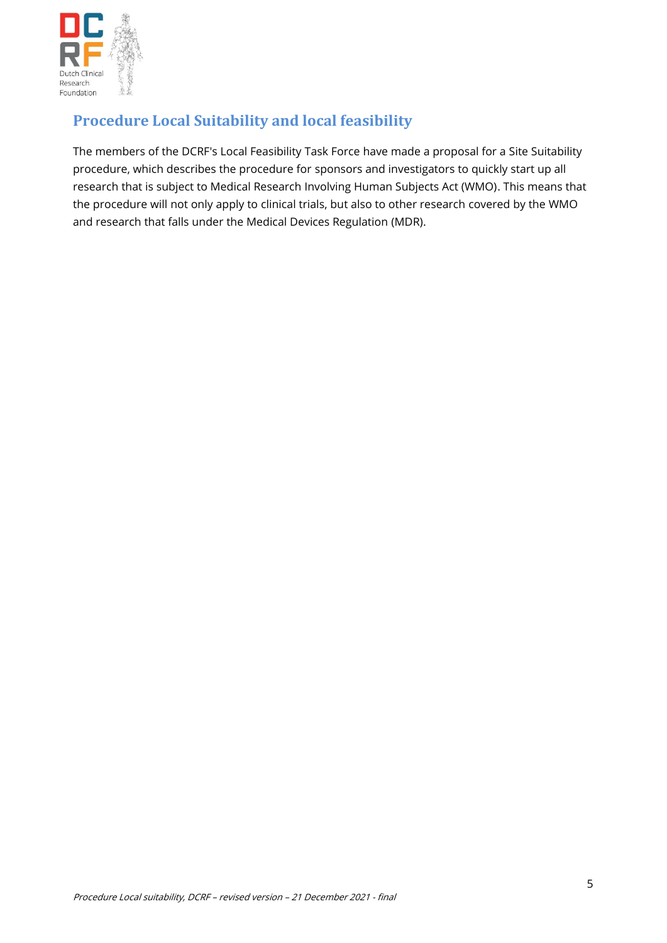

# **Procedure Local Suitability and local feasibility**

The members of the DCRF's Local Feasibility Task Force have made a proposal for a Site Suitability procedure, which describes the procedure for sponsors and investigators to quickly start up all research that is subject to Medical Research Involving Human Subjects Act (WMO). This means that the procedure will not only apply to clinical trials, but also to other research covered by the WMO and research that falls under the Medical Devices Regulation (MDR).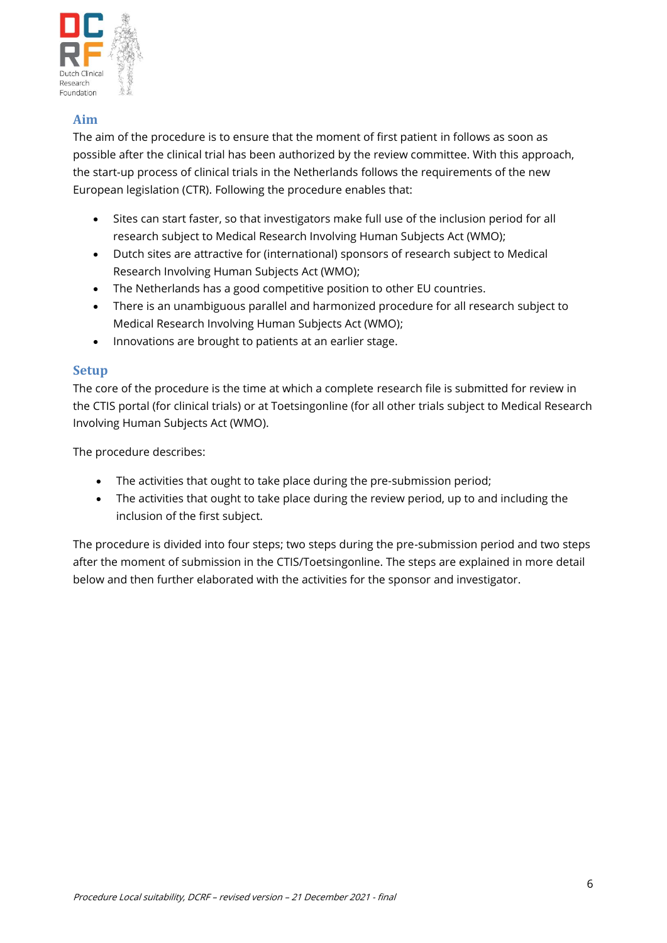

## **Aim**

The aim of the procedure is to ensure that the moment of first patient in follows as soon as possible after the clinical trial has been authorized by the review committee. With this approach, the start-up process of clinical trials in the Netherlands follows the requirements of the new European legislation (CTR). Following the procedure enables that:

- Sites can start faster, so that investigators make full use of the inclusion period for all research subject to Medical Research Involving Human Subjects Act (WMO);
- Dutch sites are attractive for (international) sponsors of research subject to Medical Research Involving Human Subjects Act (WMO);
- The Netherlands has a good competitive position to other EU countries.
- There is an unambiguous parallel and harmonized procedure for all research subject to Medical Research Involving Human Subjects Act (WMO);
- Innovations are brought to patients at an earlier stage.

### **Setup**

The core of the procedure is the time at which a complete research file is submitted for review in the CTIS portal (for clinical trials) or at Toetsingonline (for all other trials subject to Medical Research Involving Human Subjects Act (WMO).

The procedure describes:

- The activities that ought to take place during the pre-submission period;
- The activities that ought to take place during the review period, up to and including the inclusion of the first subject.

The procedure is divided into four steps; two steps during the pre-submission period and two steps after the moment of submission in the CTIS/Toetsingonline. The steps are explained in more detail below and then further elaborated with the activities for the sponsor and investigator.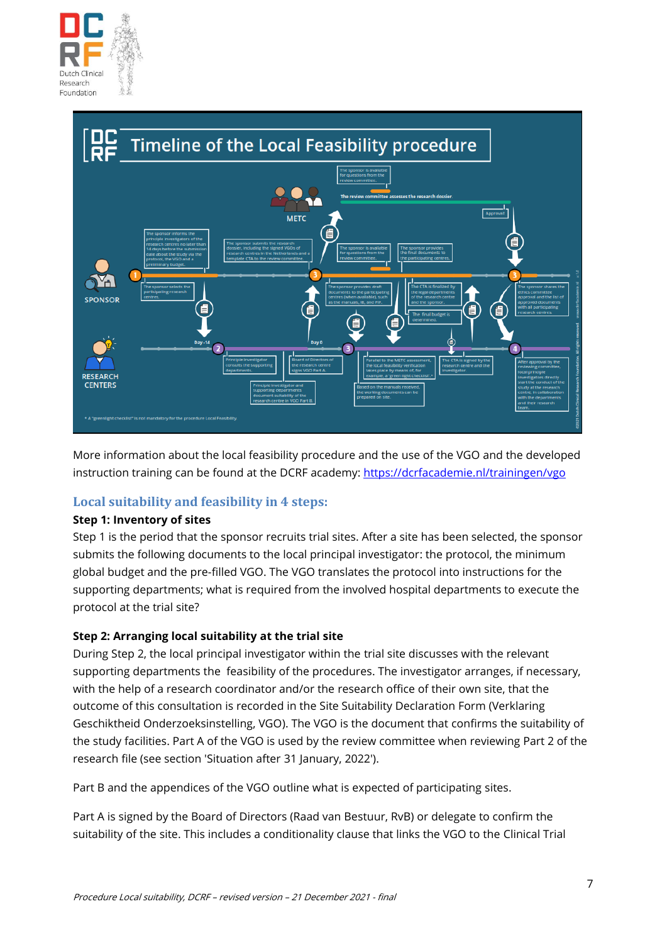



More information about the local feasibility procedure and the use of the VGO and the developed instruction training can be found at the DCRF academy[: https://dcrfacademie.nl/trainingen/vgo](https://dcrfacademie.nl/trainingen/vgo)

## **Local suitability and feasibility in 4 steps:**

#### **Step 1: Inventory of sites**

Step 1 is the period that the sponsor recruits trial sites. After a site has been selected, the sponsor submits the following documents to the local principal investigator: the protocol, the minimum global budget and the pre-filled VGO. The VGO translates the protocol into instructions for the supporting departments; what is required from the involved hospital departments to execute the protocol at the trial site?

### **Step 2: Arranging local suitability at the trial site**

During Step 2, the local principal investigator within the trial site discusses with the relevant supporting departments the feasibility of the procedures. The investigator arranges, if necessary, with the help of a research coordinator and/or the research office of their own site, that the outcome of this consultation is recorded in the Site Suitability Declaration Form (Verklaring Geschiktheid Onderzoeksinstelling, VGO). The VGO is the document that confirms the suitability of the study facilities. Part A of the VGO is used by the review committee when reviewing Part 2 of the research file (see section 'Situation after 31 January, 2022').

Part B and the appendices of the VGO outline what is expected of participating sites.

Part A is signed by the Board of Directors (Raad van Bestuur, RvB) or delegate to confirm the suitability of the site. This includes a conditionality clause that links the VGO to the Clinical Trial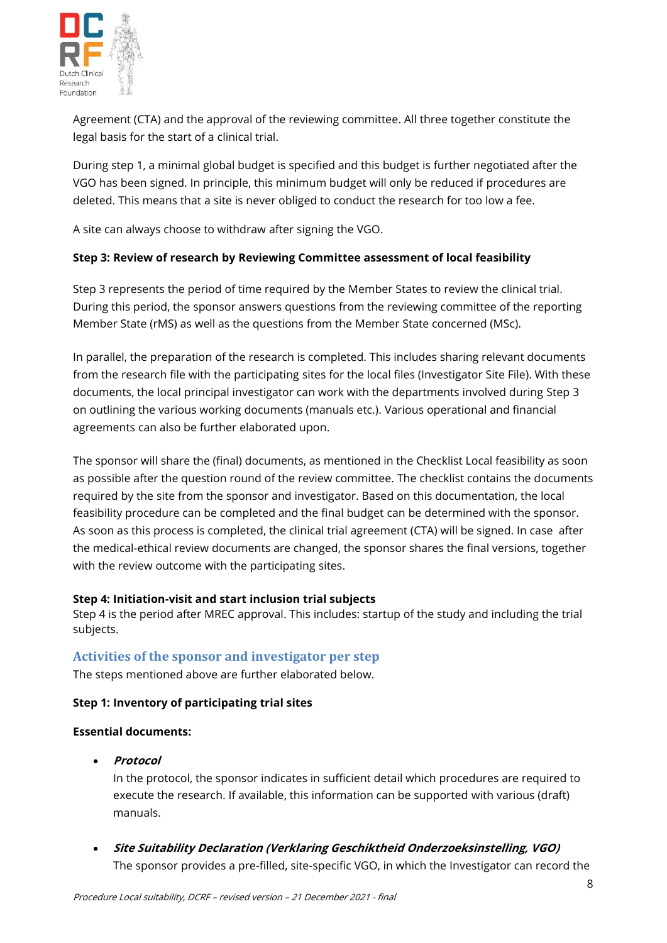

Agreement (CTA) and the approval of the reviewing committee. All three together constitute the legal basis for the start of a clinical trial.

During step 1, a minimal global budget is specified and this budget is further negotiated after the VGO has been signed. In principle, this minimum budget will only be reduced if procedures are deleted. This means that a site is never obliged to conduct the research for too low a fee.

A site can always choose to withdraw after signing the VGO.

#### **Step 3: Review of research by Reviewing Committee assessment of local feasibility**

Step 3 represents the period of time required by the Member States to review the clinical trial. During this period, the sponsor answers questions from the reviewing committee of the reporting Member State (rMS) as well as the questions from the Member State concerned (MSc).

In parallel, the preparation of the research is completed. This includes sharing relevant documents from the research file with the participating sites for the local files (Investigator Site File). With these documents, the local principal investigator can work with the departments involved during Step 3 on outlining the various working documents (manuals etc.). Various operational and financial agreements can also be further elaborated upon.

The sponsor will share the (final) documents, as mentioned in the Checklist Local feasibility as soon as possible after the question round of the review committee. The checklist contains the documents required by the site from the sponsor and investigator. Based on this documentation, the local feasibility procedure can be completed and the final budget can be determined with the sponsor. As soon as this process is completed, the clinical trial agreement (CTA) will be signed. In case after the medical-ethical review documents are changed, the sponsor shares the final versions, together with the review outcome with the participating sites.

#### **Step 4: Initiation-visit and start inclusion trial subjects**

Step 4 is the period after MREC approval. This includes: startup of the study and including the trial subjects.

### **Activities of the sponsor and investigator per step**

The steps mentioned above are further elaborated below.

#### **Step 1: Inventory of participating trial sites**

#### **Essential documents:**

• **Protocol**

In the protocol, the sponsor indicates in sufficient detail which procedures are required to execute the research. If available, this information can be supported with various (draft) manuals.

• **Site Suitability Declaration (Verklaring Geschiktheid Onderzoeksinstelling, VGO)** The sponsor provides a pre-filled, site-specific VGO, in which the Investigator can record the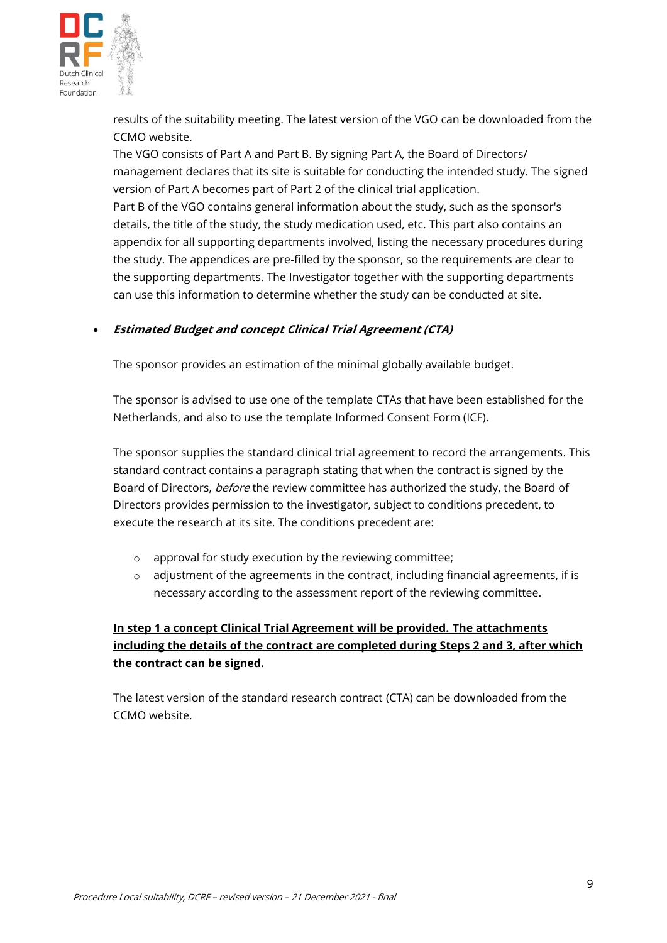

results of the suitability meeting. The latest version of the VGO can be downloaded from the CCMO website.

The VGO consists of Part A and Part B. By signing Part A, the Board of Directors/ management declares that its site is suitable for conducting the intended study. The signed version of Part A becomes part of Part 2 of the clinical trial application.

Part B of the VGO contains general information about the study, such as the sponsor's details, the title of the study, the study medication used, etc. This part also contains an appendix for all supporting departments involved, listing the necessary procedures during the study. The appendices are pre-filled by the sponsor, so the requirements are clear to the supporting departments. The Investigator together with the supporting departments can use this information to determine whether the study can be conducted at site.

### • **Estimated Budget and concept Clinical Trial Agreement (CTA)**

The sponsor provides an estimation of the minimal globally available budget.

The sponsor is advised to use one of the template CTAs that have been established for the Netherlands, and also to use the template Informed Consent Form (ICF).

The sponsor supplies the standard clinical trial agreement to record the arrangements. This standard contract contains a paragraph stating that when the contract is signed by the Board of Directors, before the review committee has authorized the study, the Board of Directors provides permission to the investigator, subject to conditions precedent, to execute the research at its site. The conditions precedent are:

- o approval for study execution by the reviewing committee;
- $\circ$  adjustment of the agreements in the contract, including financial agreements, if is necessary according to the assessment report of the reviewing committee.

## **In step 1 a concept Clinical Trial Agreement will be provided. The attachments including the details of the contract are completed during Steps 2 and 3, after which the contract can be signed.**

The latest version of the standard research contract (CTA) can be downloaded from the CCMO website.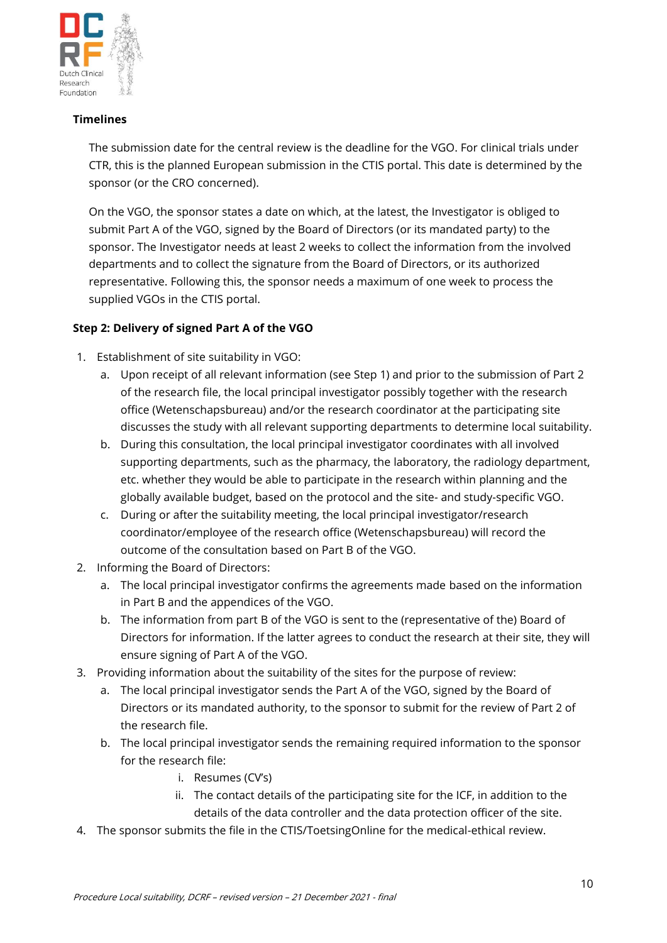

#### **Timelines**

The submission date for the central review is the deadline for the VGO. For clinical trials under CTR, this is the planned European submission in the CTIS portal. This date is determined by the sponsor (or the CRO concerned).

On the VGO, the sponsor states a date on which, at the latest, the Investigator is obliged to submit Part A of the VGO, signed by the Board of Directors (or its mandated party) to the sponsor. The Investigator needs at least 2 weeks to collect the information from the involved departments and to collect the signature from the Board of Directors, or its authorized representative. Following this, the sponsor needs a maximum of one week to process the supplied VGOs in the CTIS portal.

### **Step 2: Delivery of signed Part A of the VGO**

- 1. Establishment of site suitability in VGO:
	- a. Upon receipt of all relevant information (see Step 1) and prior to the submission of Part 2 of the research file, the local principal investigator possibly together with the research office (Wetenschapsbureau) and/or the research coordinator at the participating site discusses the study with all relevant supporting departments to determine local suitability.
	- b. During this consultation, the local principal investigator coordinates with all involved supporting departments, such as the pharmacy, the laboratory, the radiology department, etc. whether they would be able to participate in the research within planning and the globally available budget, based on the protocol and the site- and study-specific VGO.
	- c. During or after the suitability meeting, the local principal investigator/research coordinator/employee of the research office (Wetenschapsbureau) will record the outcome of the consultation based on Part B of the VGO.
- 2. Informing the Board of Directors:
	- a. The local principal investigator confirms the agreements made based on the information in Part B and the appendices of the VGO.
	- b. The information from part B of the VGO is sent to the (representative of the) Board of Directors for information. If the latter agrees to conduct the research at their site, they will ensure signing of Part A of the VGO.
- 3. Providing information about the suitability of the sites for the purpose of review:
	- a. The local principal investigator sends the Part A of the VGO, signed by the Board of Directors or its mandated authority, to the sponsor to submit for the review of Part 2 of the research file.
	- b. The local principal investigator sends the remaining required information to the sponsor for the research file:
		- i. Resumes (CV's)
		- ii. The contact details of the participating site for the ICF, in addition to the details of the data controller and the data protection officer of the site.
- 4. The sponsor submits the file in the CTIS/ToetsingOnline for the medical-ethical review.